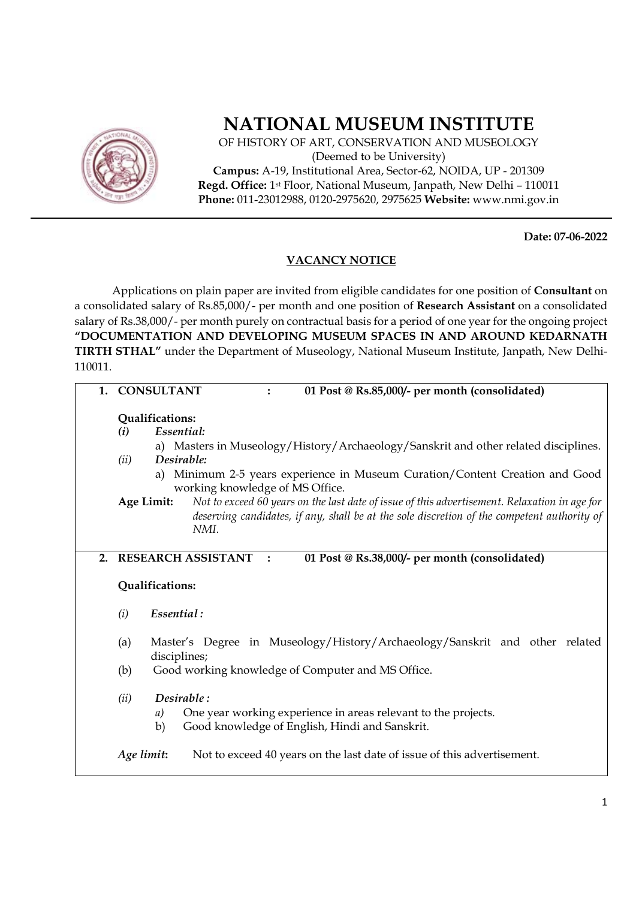

## **NATIONAL MUSEUM INSTITUTE**

OF HISTORY OF ART, CONSERVATION AND MUSEOLOGY (Deemed to be University) **Campus:** A-19, Institutional Area, Sector-62, NOIDA, UP - 201309 **Regd. Office:** 1st Floor, National Museum, Janpath, New Delhi – 110011 **Phone:** 011-23012988, 0120-2975620, 2975625 **Website:** www.nmi.gov.in

**Date: 07-06-2022** 

## **VACANCY NOTICE**

Applications on plain paper are invited from eligible candidates for one position of **Consultant** on a consolidated salary of Rs.85,000/- per month and one position of **Research Assistant** on a consolidated salary of Rs.38,000/- per month purely on contractual basis for a period of one year for the ongoing project **"DOCUMENTATION AND DEVELOPING MUSEUM SPACES IN AND AROUND KEDARNATH TIRTH STHAL"** under the Department of Museology, National Museum Institute, Janpath, New Delhi-110011.

| 1. | <b>CONSULTANT</b><br>01 Post @ Rs.85,000/- per month (consolidated)                                                                                                                                                                                                                                                                                                                                                                                                                        |
|----|--------------------------------------------------------------------------------------------------------------------------------------------------------------------------------------------------------------------------------------------------------------------------------------------------------------------------------------------------------------------------------------------------------------------------------------------------------------------------------------------|
|    | Qualifications:<br>Essential:<br>(i)<br>a) Masters in Museology/History/Archaeology/Sanskrit and other related disciplines.<br>Desirable:<br>(ii)<br>a) Minimum 2-5 years experience in Museum Curation/Content Creation and Good<br>working knowledge of MS Office.<br>Not to exceed 60 years on the last date of issue of this advertisement. Relaxation in age for<br>Age Limit:<br>deserving candidates, if any, shall be at the sole discretion of the competent authority of<br>NMI. |
| 2. | <b>RESEARCH ASSISTANT</b><br>01 Post @ Rs.38,000/- per month (consolidated)<br>Qualifications:                                                                                                                                                                                                                                                                                                                                                                                             |
|    | Essential:<br>(i)                                                                                                                                                                                                                                                                                                                                                                                                                                                                          |
|    | Master's Degree in Museology/History/Archaeology/Sanskrit and other related<br>(a)<br>disciplines;                                                                                                                                                                                                                                                                                                                                                                                         |
|    | (b)<br>Good working knowledge of Computer and MS Office.                                                                                                                                                                                                                                                                                                                                                                                                                                   |
|    | Desirable:<br>(ii)<br>One year working experience in areas relevant to the projects.<br>a)<br>Good knowledge of English, Hindi and Sanskrit.<br>b)                                                                                                                                                                                                                                                                                                                                         |
|    | Age limit:<br>Not to exceed 40 years on the last date of issue of this advertisement.                                                                                                                                                                                                                                                                                                                                                                                                      |